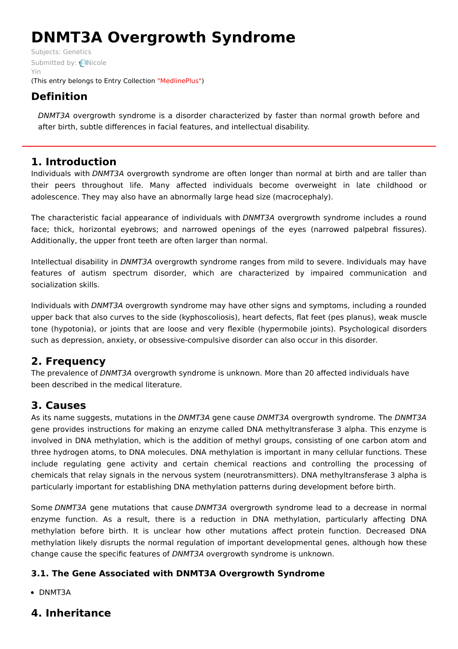# **DNMT3A Overgrowth Syndrome**

Subjects: [Genetics](https://encyclopedia.pub/item/subject/56) [Submitted](https://sciprofiles.com/profile/807605) by: Nicole Yin (This entry belongs to Entry Collection ["MedlinePlus"](https://encyclopedia.pub/entry/collection/24))

# **Definition**

DNMT3A overgrowth syndrome is a disorder characterized by faster than normal growth before and after birth, subtle differences in facial features, and intellectual disability.

## **1. Introduction**

Individuals with DNMT3A overgrowth syndrome are often longer than normal at birth and are taller than their peers throughout life. Many affected individuals become overweight in late childhood or adolescence. They may also have an abnormally large head size (macrocephaly).

The characteristic facial appearance of individuals with DNMT3A overgrowth syndrome includes a round face; thick, horizontal eyebrows; and narrowed openings of the eyes (narrowed palpebral fissures). Additionally, the upper front teeth are often larger than normal.

Intellectual disability in DNMT3A overgrowth syndrome ranges from mild to severe. Individuals may have features of autism spectrum disorder, which are characterized by impaired communication and socialization skills.

Individuals with DNMT3A overgrowth syndrome may have other signs and symptoms, including a rounded upper back that also curves to the side (kyphoscoliosis), heart defects, flat feet (pes planus), weak muscle tone (hypotonia), or joints that are loose and very flexible (hypermobile joints). Psychological disorders such as depression, anxiety, or obsessive-compulsive disorder can also occur in this disorder.

# **2. Frequency**

The prevalence of DNMT3A overgrowth syndrome is unknown. More than 20 affected individuals have been described in the medical literature.

# **3. Causes**

As its name suggests, mutations in the DNMT3A gene cause DNMT3A overgrowth syndrome. The DNMT3A gene provides instructions for making an enzyme called DNA methyltransferase 3 alpha. This enzyme is involved in DNA methylation, which is the addition of methyl groups, consisting of one carbon atom and three hydrogen atoms, to DNA molecules. DNA methylation is important in many cellular functions. These include regulating gene activity and certain chemical reactions and controlling the processing of chemicals that relay signals in the nervous system (neurotransmitters). DNA methyltransferase 3 alpha is particularly important for establishing DNA methylation patterns during development before birth.

Some DNMT3A gene mutations that cause DNMT3A overgrowth syndrome lead to a decrease in normal enzyme function. As a result, there is a reduction in DNA methylation, particularly affecting DNA methylation before birth. It is unclear how other mutations affect protein function. Decreased DNA methylation likely disrupts the normal regulation of important developmental genes, although how these change cause the specific features of DNMT3A overgrowth syndrome is unknown.

### **3.1. The Gene Associated with DNMT3A Overgrowth Syndrome**

• DNMT3A

# **4. Inheritance**